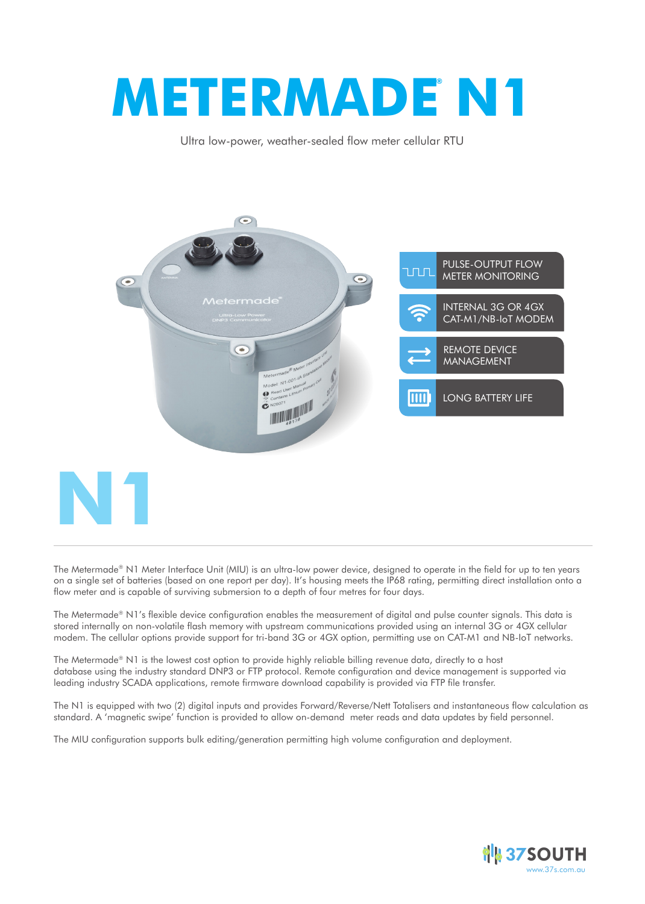# **METERMADE N1 ®**

Ultra low-power, weather-sealed flow meter cellular RTU



The Metermade® N1 Meter Interface Unit (MIU) is an ultra-low power device, designed to operate in the field for up to ten years on a single set of batteries (based on one report per day). It's housing meets the IP68 rating, permitting direct installation onto a flow meter and is capable of surviving submersion to a depth of four metres for four days.

The Metermade® N1's flexible device configuration enables the measurement of digital and pulse counter signals. This data is stored internally on non-volatile flash memory with upstream communications provided using an internal 3G or 4GX cellular modem. The cellular options provide support for tri-band 3G or 4GX option, permitting use on CAT-M1 and NB-IoT networks.

The Metermade® N1 is the lowest cost option to provide highly reliable billing revenue data, directly to a host database using the industry standard DNP3 or FTP protocol. Remote configuration and device management is supported via leading industry SCADA applications, remote firmware download capability is provided via FTP file transfer.

The N1 is equipped with two (2) digital inputs and provides Forward/Reverse/Nett Totalisers and instantaneous flow calculation as standard. A 'magnetic swipe' function is provided to allow on-demand meter reads and data updates by field personnel.

The MIU configuration supports bulk editing/generation permitting high volume configuration and deployment.